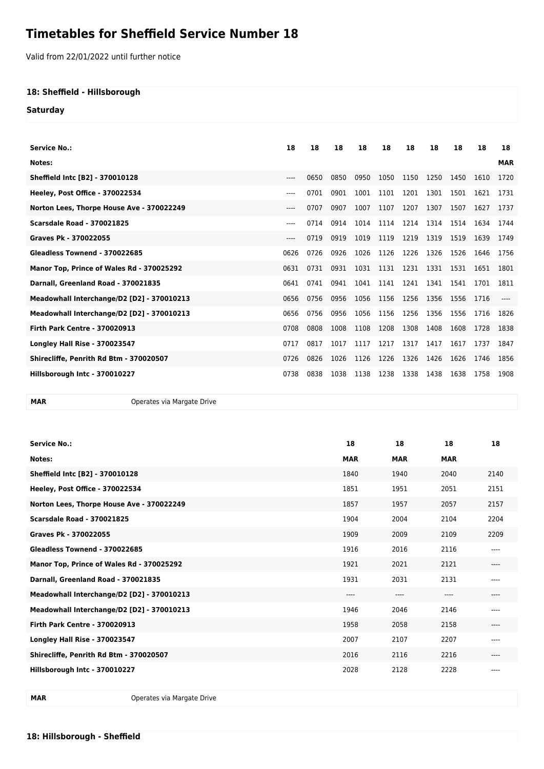## **Timetables for Sheffield Service Number 18**

Valid from 22/01/2022 until further notice

## **18: Sheffield - Hillsborough**

**Saturday**

| <b>Service No.:</b>                        | 18    | 18   | 18   | 18   | 18   | 18        | 18   | 18   | 18   | 18         |
|--------------------------------------------|-------|------|------|------|------|-----------|------|------|------|------------|
| Notes:                                     |       |      |      |      |      |           |      |      |      | <b>MAR</b> |
| Sheffield Intc [B2] - 370010128            | $---$ | 0650 | 0850 | 0950 | 1050 | 1150      | 1250 | 1450 | 1610 | 1720       |
| Heeley, Post Office - 370022534            | ----  | 0701 | 0901 | 1001 | 1101 | 1201      | 1301 | 1501 | 1621 | 1731       |
| Norton Lees, Thorpe House Ave - 370022249  | $---$ | 0707 | 0907 | 1007 | 1107 | 1207      | 1307 | 1507 | 1627 | 1737       |
| <b>Scarsdale Road - 370021825</b>          | $---$ | 0714 | 0914 | 1014 | 1114 | 1214 1314 |      | 1514 | 1634 | 1744       |
| Graves Pk - 370022055                      | $---$ | 0719 | 0919 | 1019 | 1119 | 1219      | 1319 | 1519 | 1639 | 1749       |
| Gleadless Townend - 370022685              | 0626  | 0726 | 0926 | 1026 | 1126 | 1226      | 1326 | 1526 | 1646 | 1756       |
| Manor Top, Prince of Wales Rd - 370025292  | 0631  | 0731 | 0931 | 1031 | 1131 | 1231      | 1331 | 1531 | 1651 | 1801       |
| Darnall, Greenland Road - 370021835        | 0641  | 0741 | 0941 | 1041 | 1141 | 1241      | 1341 | 1541 | 1701 | 1811       |
| Meadowhall Interchange/D2 [D2] - 370010213 | 0656  | 0756 | 0956 | 1056 | 1156 | 1256      | 1356 | 1556 | 1716 |            |
| Meadowhall Interchange/D2 [D2] - 370010213 | 0656  | 0756 | 0956 | 1056 | 1156 | 1256      | 1356 | 1556 | 1716 | 1826       |
| <b>Firth Park Centre - 370020913</b>       | 0708  | 0808 | 1008 | 1108 | 1208 | 1308      | 1408 | 1608 | 1728 | 1838       |
| <b>Longley Hall Rise - 370023547</b>       | 0717  | 0817 | 1017 | 1117 | 1217 | 1317      | 1417 | 1617 | 1737 | 1847       |
| Shirecliffe, Penrith Rd Btm - 370020507    | 0726  | 0826 | 1026 | 1126 | 1226 | 1326      | 1426 | 1626 | 1746 | 1856       |
| Hillsborough Intc - 370010227              | 0738  | 0838 | 1038 | 1138 | 1238 | 1338      | 1438 | 1638 | 1758 | 1908       |

**MAR** Operates via Margate Drive

| <b>Service No.:</b>                        | 18         | 18         | 18         | 18    |
|--------------------------------------------|------------|------------|------------|-------|
| Notes:                                     | <b>MAR</b> | <b>MAR</b> | <b>MAR</b> |       |
| Sheffield Intc [B2] - 370010128            | 1840       | 1940       | 2040       | 2140  |
| Heeley, Post Office - 370022534            | 1851       | 1951       | 2051       | 2151  |
| Norton Lees, Thorpe House Ave - 370022249  | 1857       | 1957       | 2057       | 2157  |
| <b>Scarsdale Road - 370021825</b>          | 1904       | 2004       | 2104       | 2204  |
| Graves Pk - 370022055                      | 1909       | 2009       | 2109       | 2209  |
| Gleadless Townend - 370022685              | 1916       | 2016       | 2116       | $---$ |
| Manor Top, Prince of Wales Rd - 370025292  | 1921       | 2021       | 2121       | $---$ |
| Darnall, Greenland Road - 370021835        | 1931       | 2031       | 2131       | ----  |
| Meadowhall Interchange/D2 [D2] - 370010213 | ----       | $---$      | ----       | $---$ |
| Meadowhall Interchange/D2 [D2] - 370010213 | 1946       | 2046       | 2146       | $---$ |
| <b>Firth Park Centre - 370020913</b>       | 1958       | 2058       | 2158       | $---$ |
| <b>Longley Hall Rise - 370023547</b>       | 2007       | 2107       | 2207       | $---$ |
| Shirecliffe, Penrith Rd Btm - 370020507    | 2016       | 2116       | 2216       | $---$ |
| Hillsborough Intc - 370010227              | 2028       | 2128       | 2228       |       |

**MAR** Operates via Margate Drive